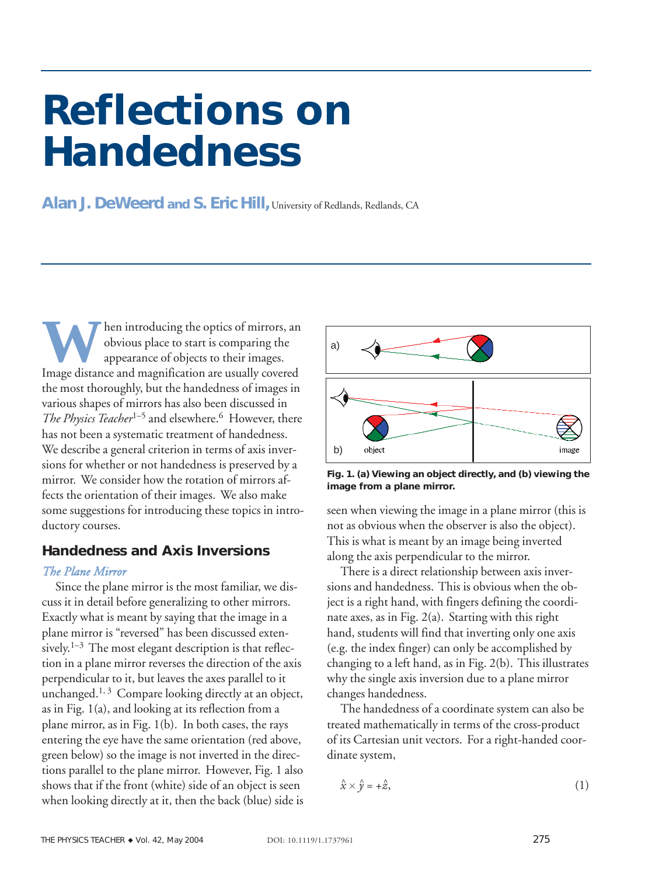# **Reflections on Handedness**

Alan J. DeWeerd and S. Eric Hill, University of Redlands, Redlands, CA

**W** hen introducing the optics of mirrors, and obvious place to start is comparing the appearance of objects to their images. obvious place to start is comparing the appearance of objects to their images. Image distance and magnification are usually covered the most thoroughly, but the handedness of images in various shapes of mirrors has also been discussed in *The Physics Teacher*<sup>1–5</sup> and elsewhere.<sup>6</sup> However, there has not been a systematic treatment of handedness. We describe a general criterion in terms of axis inversions for whether or not handedness is preserved by a mirror. We consider how the rotation of mirrors affects the orientation of their images. We also make some suggestions for introducing these topics in introductory courses.

## **Handedness and Axis Inversions**

#### *The Plane Mirror*

Since the plane mirror is the most familiar, we discuss it in detail before generalizing to other mirrors. Exactly what is meant by saying that the image in a plane mirror is "reversed" has been discussed extensively.<sup>1–3</sup> The most elegant description is that reflection in a plane mirror reverses the direction of the axis perpendicular to it, but leaves the axes parallel to it unchanged.<sup>1, 3</sup> Compare looking directly at an object, as in Fig. 1(a), and looking at its reflection from a plane mirror, as in Fig. 1(b). In both cases, the rays entering the eye have the same orientation (red above, green below) so the image is not inverted in the directions parallel to the plane mirror. However, Fig. 1 also shows that if the front (white) side of an object is seen when looking directly at it, then the back (blue) side is



**Fig. 1. (a) Viewing an object directly, and (b) viewing the image from a plane mirror.**

seen when viewing the image in a plane mirror (this is not as obvious when the observer is also the object). This is what is meant by an image being inverted along the axis perpendicular to the mirror.

There is a direct relationship between axis inversions and handedness. This is obvious when the object is a right hand, with fingers defining the coordinate axes, as in Fig. 2(a). Starting with this right hand, students will find that inverting only one axis (e.g. the index finger) can only be accomplished by changing to a left hand, as in Fig. 2(b). This illustrates why the single axis inversion due to a plane mirror changes handedness.

The handedness of a coordinate system can also be treated mathematically in terms of the cross-product of its Cartesian unit vectors. For a right-handed coordinate system,

$$
\hat{x} \times \hat{y} = +\hat{z},\tag{1}
$$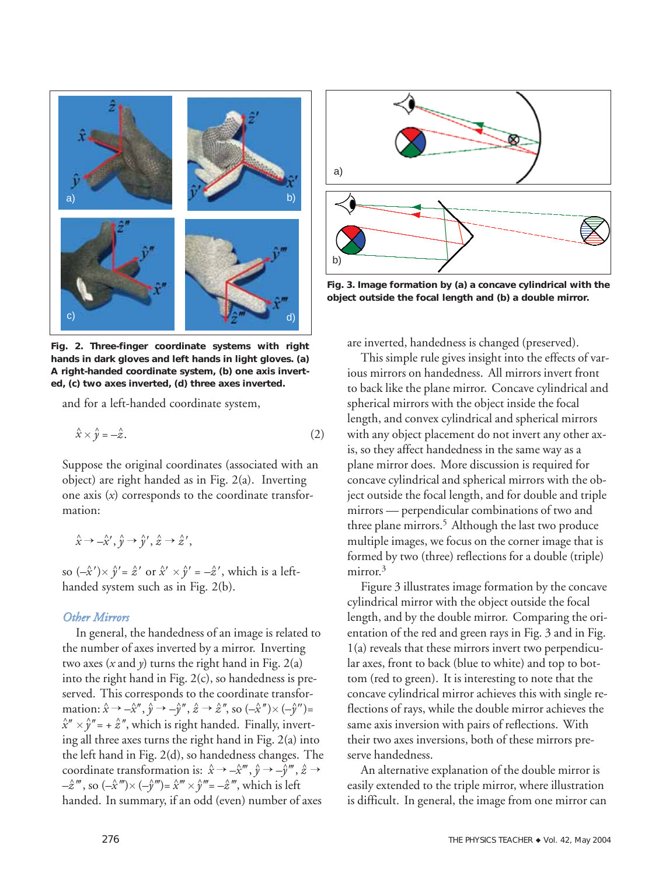

**Fig. 2. Three-finger coordinate systems with right hands in dark gloves and left hands in light gloves. (a) A right-handed coordinate system, (b) one axis inverted, (c) two axes inverted, (d) three axes inverted.** 

and for a left-handed coordinate system,

$$
\hat{x} \times \hat{y} = -\hat{z}.\tag{2}
$$

Suppose the original coordinates (associated with an object) are right handed as in Fig. 2(a). Inverting one axis (*x*) corresponds to the coordinate transformation:

$$
\hat{x} \to -\hat{x}', \hat{y} \to \hat{y}', \hat{z} \to \hat{z}',
$$

so  $(-\hat{x}') \times \hat{y}' = \hat{z}'$  or  $\hat{x}' \times \hat{y}' = -\hat{z}'$ , which is a lefthanded system such as in Fig. 2(b).

## *Other Mirrors*

In general, the handedness of an image is related to the number of axes inverted by a mirror. Inverting two axes  $(x \text{ and } y)$  turns the right hand in Fig. 2(a) into the right hand in Fig. 2(c), so handedness is preserved. This corresponds to the coordinate transformation:  $\hat{x} \to -\hat{x}''$ ,  $\hat{y} \to -\hat{y}''$ ,  $\hat{z} \to \hat{z}''$ , so  $(-\hat{x}'') \times (-\hat{y}'')$ =  $\hat{x}'' \times \hat{y}''$ = +  $\hat{z}''$ , which is right handed. Finally, inverting all three axes turns the right hand in Fig. 2(a) into the left hand in Fig. 2(d), so handedness changes. The coordinate transformation is:  $\hat{x} \to -\hat{x}^{\prime\prime\prime}$ ,  $\hat{y} \to -\hat{y}^{\prime\prime\prime}$ ,  $\hat{z} \to z$ -*ẑ'''*, so (-*x̂'''*)× (-*ŷ'''*)= *x̂'''* × *ŷ'''*= -*ẑ'''*, which is left handed. In summary, if an odd (even) number of axes



**Fig. 3. Image formation by (a) a concave cylindrical with the object outside the focal length and (b) a double mirror.**

are inverted, handedness is changed (preserved).

This simple rule gives insight into the effects of various mirrors on handedness. All mirrors invert front to back like the plane mirror. Concave cylindrical and spherical mirrors with the object inside the focal length, and convex cylindrical and spherical mirrors with any object placement do not invert any other axis, so they affect handedness in the same way as a plane mirror does. More discussion is required for concave cylindrical and spherical mirrors with the object outside the focal length, and for double and triple mirrors — perpendicular combinations of two and three plane mirrors.<sup>5</sup> Although the last two produce multiple images, we focus on the corner image that is formed by two (three) reflections for a double (triple) mirror.<sup>3</sup>

Figure 3 illustrates image formation by the concave cylindrical mirror with the object outside the focal length, and by the double mirror. Comparing the orientation of the red and green rays in Fig. 3 and in Fig. 1(a) reveals that these mirrors invert two perpendicular axes, front to back (blue to white) and top to bottom (red to green). It is interesting to note that the concave cylindrical mirror achieves this with single reflections of rays, while the double mirror achieves the same axis inversion with pairs of reflections. With their two axes inversions, both of these mirrors preserve handedness.

An alternative explanation of the double mirror is easily extended to the triple mirror, where illustration is difficult. In general, the image from one mirror can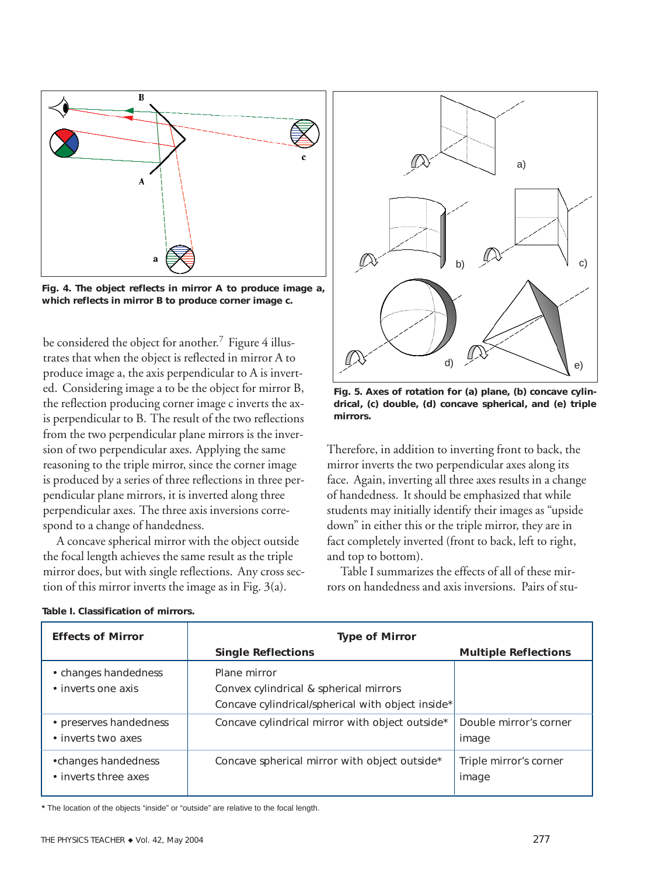

**Fig. 4. The object reflects in mirror A to produce image a, which reflects in mirror B to produce corner image c.**

be considered the object for another.<sup>7</sup> Figure 4 illustrates that when the object is reflected in mirror A to produce image a, the axis perpendicular to A is inverted. Considering image a to be the object for mirror B, the reflection producing corner image c inverts the axis perpendicular to B. The result of the two reflections from the two perpendicular plane mirrors is the inversion of two perpendicular axes. Applying the same reasoning to the triple mirror, since the corner image is produced by a series of three reflections in three perpendicular plane mirrors, it is inverted along three perpendicular axes. The three axis inversions correspond to a change of handedness.

A concave spherical mirror with the object outside the focal length achieves the same result as the triple mirror does, but with single reflections. Any cross section of this mirror inverts the image as in Fig. 3(a).

|    | a) |
|----|----|
| b) | c) |
| d) | e) |

**Fig. 5. Axes of rotation for (a) plane, (b) concave cylindrical, (c) double, (d) concave spherical, and (e) triple mirrors.**

Therefore, in addition to inverting front to back, the mirror inverts the two perpendicular axes along its face. Again, inverting all three axes results in a change of handedness. It should be emphasized that while students may initially identify their images as "upside down" in either this or the triple mirror, they are in fact completely inverted (front to back, left to right, and top to bottom).

Table I summarizes the effects of all of these mirrors on handedness and axis inversions. Pairs of stu-

| <b>Effects of Mirror</b>                     | <b>Type of Mirror</b>                                                                                       |                                 |
|----------------------------------------------|-------------------------------------------------------------------------------------------------------------|---------------------------------|
|                                              | <b>Single Reflections</b>                                                                                   | <b>Multiple Reflections</b>     |
| • changes handedness<br>• inverts one axis   | Plane mirror<br>Convex cylindrical & spherical mirrors<br>Concave cylindrical/spherical with object inside* |                                 |
| • preserves handedness<br>• inverts two axes | Concave cylindrical mirror with object outside*                                                             | Double mirror's corner<br>image |
| •changes handedness<br>• inverts three axes  | Concave spherical mirror with object outside*                                                               | Triple mirror's corner<br>image |

| Table I. Classification of mirrors. |  |  |
|-------------------------------------|--|--|
|-------------------------------------|--|--|

**\*** The location of the objects "inside" or "outside" are relative to the focal length.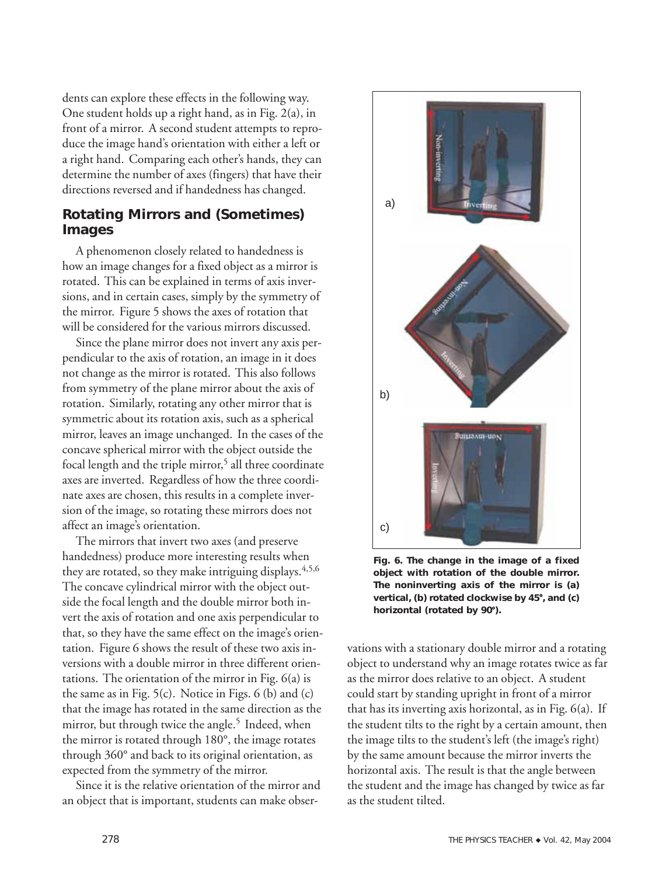dents can explore these effects in the following way. One student holds up a right hand, as in Fig. 2(a), in front of a mirror. A second student attempts to reproduce the image hand's orientation with either a left or a right hand. Comparing each other's hands, they can determine the number of axes (fingers) that have their directions reversed and if handedness has changed.

# **Rotating Mirrors and (Sometimes) Images**

A phenomenon closely related to handedness is how an image changes for a fixed object as a mirror is rotated. This can be explained in terms of axis inversions, and in certain cases, simply by the symmetry of the mirror. Figure 5 shows the axes of rotation that will be considered for the various mirrors discussed.

Since the plane mirror does not invert any axis perpendicular to the axis of rotation, an image in it does not change as the mirror is rotated. This also follows from symmetry of the plane mirror about the axis of rotation. Similarly, rotating any other mirror that is symmetric about its rotation axis, such as a spherical mirror, leaves an image unchanged. In the cases of the concave spherical mirror with the object outside the focal length and the triple mirror,<sup>5</sup> all three coordinate axes are inverted. Regardless of how the three coordinate axes are chosen, this results in a complete inversion of the image, so rotating these mirrors does not affect an image's orientation.

The mirrors that invert two axes (and preserve handedness) produce more interesting results when they are rotated, so they make intriguing displays.<sup>4,5,6</sup> The concave cylindrical mirror with the object outside the focal length and the double mirror both invert the axis of rotation and one axis perpendicular to that, so they have the same effect on the image's orientation. Figure 6 shows the result of these two axis inversions with a double mirror in three different orientations. The orientation of the mirror in Fig. 6(a) is the same as in Fig.  $5(c)$ . Notice in Figs.  $6(b)$  and  $(c)$ that the image has rotated in the same direction as the mirror, but through twice the angle.<sup>5</sup> Indeed, when the mirror is rotated through 180°, the image rotates through 360° and back to its original orientation, as expected from the symmetry of the mirror.

Since it is the relative orientation of the mirror and an object that is important, students can make obser-



**Fig. 6. The change in the image of a fixed object with rotation of the double mirror. The noninverting axis of the mirror is (a) vertical, (b) rotated clockwise by 45, and (c) horizontal (rotated by 90).**

vations with a stationary double mirror and a rotating object to understand why an image rotates twice as far as the mirror does relative to an object. A student could start by standing upright in front of a mirror that has its inverting axis horizontal, as in Fig. 6(a). If the student tilts to the right by a certain amount, then the image tilts to the student's left (the image's right) by the same amount because the mirror inverts the horizontal axis. The result is that the angle between the student and the image has changed by twice as far as the student tilted.